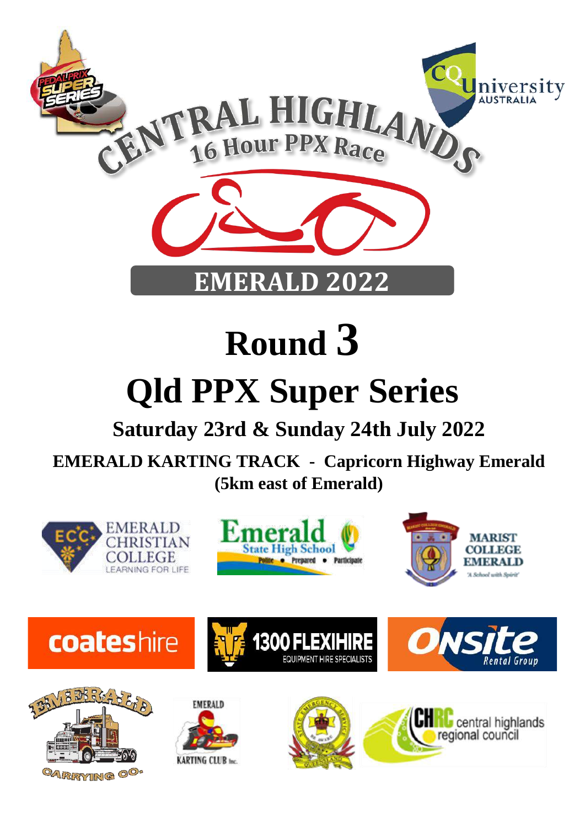

# **Round 3**

## **Qld PPX Super Series**

## **Saturday 23rd & Sunday 24th July 2022**

**EMERALD KARTING TRACK - Capricorn Highway Emerald (5km east of Emerald)**

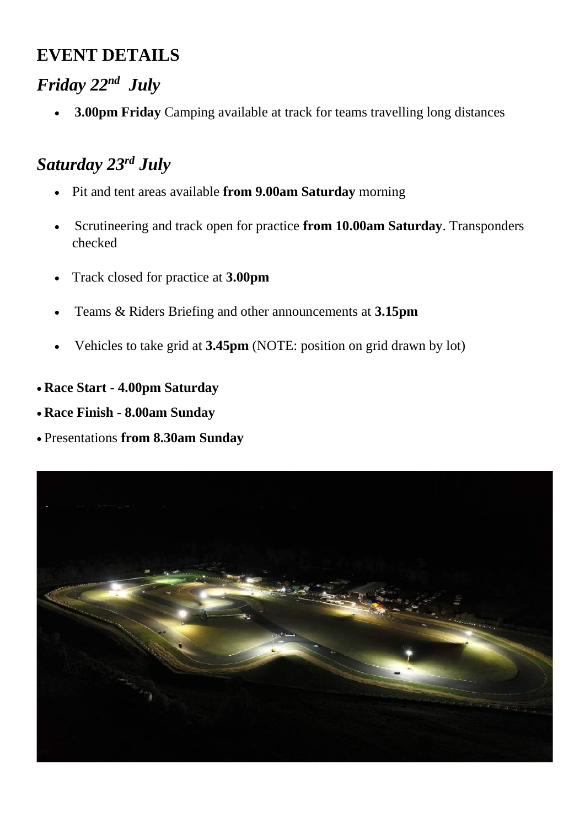## **EVENT DETAILS**

## *Friday 22nd July*

• **3.00pm Friday** Camping available at track for teams travelling long distances

## *Saturday 23rd July*

- Pit and tent areas available **from 9.00am Saturday** morning
- Scrutineering and track open for practice **from 10.00am Saturday**. Transponders checked
- Track closed for practice at **3.00pm**
- Teams & Riders Briefing and other announcements at **3.15pm**
- Vehicles to take grid at **3.45pm** (NOTE: position on grid drawn by lot)
- **Race Start - 4.00pm Saturday**
- **Race Finish - 8.00am Sunday**
- Presentations **from 8.30am Sunday**

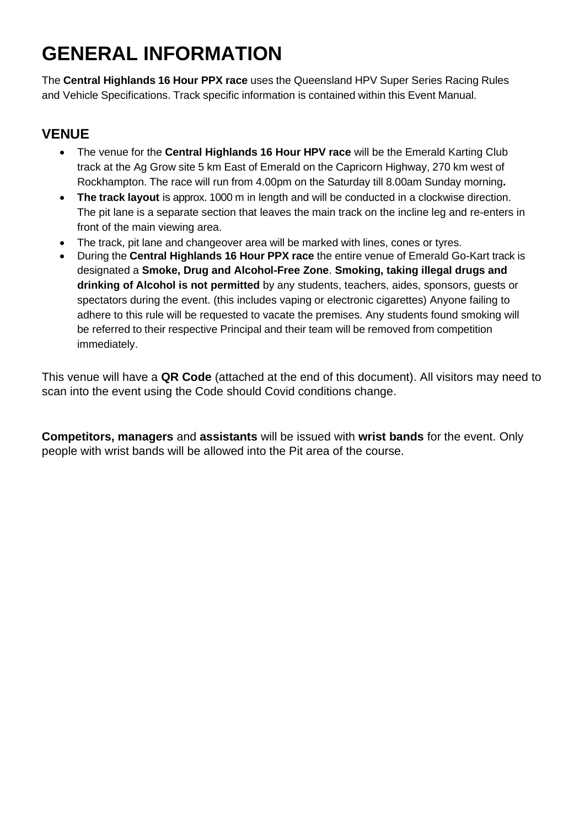## **GENERAL INFORMATION**

The **Central Highlands 16 Hour PPX race** uses the Queensland HPV Super Series Racing Rules and Vehicle Specifications. Track specific information is contained within this Event Manual.

#### **VENUE**

- The venue for the **Central Highlands 16 Hour HPV race** will be the Emerald Karting Club track at the Ag Grow site 5 km East of Emerald on the Capricorn Highway, 270 km west of Rockhampton. The race will run from 4.00pm on the Saturday till 8.00am Sunday morning**.**
- **The track layout** is approx. 1000 m in length and will be conducted in a clockwise direction. The pit lane is a separate section that leaves the main track on the incline leg and re-enters in front of the main viewing area.
- The track, pit lane and changeover area will be marked with lines, cones or tyres.
- During the **Central Highlands 16 Hour PPX race** the entire venue of Emerald Go-Kart track is designated a **Smoke, Drug and Alcohol-Free Zone**. **Smoking, taking illegal drugs and drinking of Alcohol is not permitted** by any students, teachers, aides, sponsors, guests or spectators during the event. (this includes vaping or electronic cigarettes) Anyone failing to adhere to this rule will be requested to vacate the premises. Any students found smoking will be referred to their respective Principal and their team will be removed from competition immediately.

This venue will have a **QR Code** (attached at the end of this document). All visitors may need to scan into the event using the Code should Covid conditions change.

**Competitors, managers** and **assistants** will be issued with **wrist bands** for the event. Only people with wrist bands will be allowed into the Pit area of the course.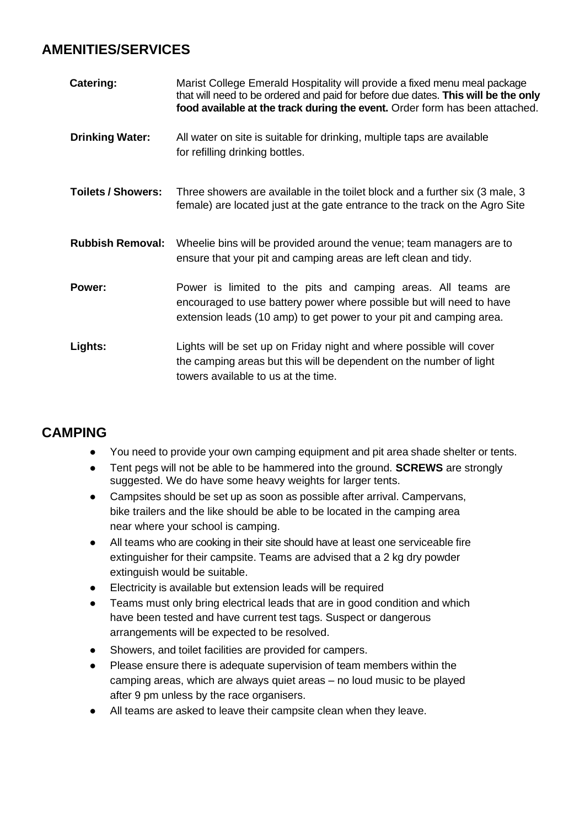#### **AMENITIES/SERVICES**

| Catering:                 | Marist College Emerald Hospitality will provide a fixed menu meal package<br>that will need to be ordered and paid for before due dates. This will be the only<br>food available at the track during the event. Order form has been attached. |
|---------------------------|-----------------------------------------------------------------------------------------------------------------------------------------------------------------------------------------------------------------------------------------------|
| <b>Drinking Water:</b>    | All water on site is suitable for drinking, multiple taps are available<br>for refilling drinking bottles.                                                                                                                                    |
| <b>Toilets / Showers:</b> | Three showers are available in the toilet block and a further six (3 male, 3<br>female) are located just at the gate entrance to the track on the Agro Site                                                                                   |
| <b>Rubbish Removal:</b>   | Wheelie bins will be provided around the venue; team managers are to<br>ensure that your pit and camping areas are left clean and tidy.                                                                                                       |
| Power:                    | Power is limited to the pits and camping areas. All teams are<br>encouraged to use battery power where possible but will need to have<br>extension leads (10 amp) to get power to your pit and camping area.                                  |
| Lights:                   | Lights will be set up on Friday night and where possible will cover<br>the camping areas but this will be dependent on the number of light<br>towers available to us at the time.                                                             |

#### **CAMPING**

- You need to provide your own camping equipment and pit area shade shelter or tents.
- Tent pegs will not be able to be hammered into the ground. **SCREWS** are strongly suggested. We do have some heavy weights for larger tents.
- Campsites should be set up as soon as possible after arrival. Campervans, bike trailers and the like should be able to be located in the camping area near where your school is camping.
- All teams who are cooking in their site should have at least one serviceable fire extinguisher for their campsite. Teams are advised that a 2 kg dry powder extinguish would be suitable.
- Electricity is available but extension leads will be required
- Teams must only bring electrical leads that are in good condition and which have been tested and have current test tags. Suspect or dangerous arrangements will be expected to be resolved.
- Showers, and toilet facilities are provided for campers.
- Please ensure there is adequate supervision of team members within the camping areas, which are always quiet areas – no loud music to be played after 9 pm unless by the race organisers.
- All teams are asked to leave their campsite clean when they leave.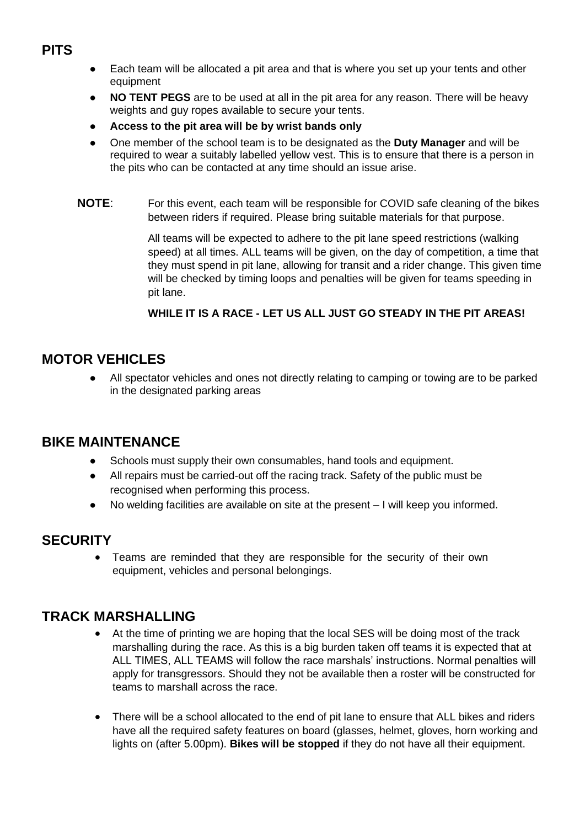- **PITS**
- Each team will be allocated a pit area and that is where you set up your tents and other equipment
- **NO TENT PEGS** are to be used at all in the pit area for any reason. There will be heavy weights and guy ropes available to secure your tents.
- **Access to the pit area will be by wrist bands only**
- One member of the school team is to be designated as the **Duty Manager** and will be required to wear a suitably labelled yellow vest. This is to ensure that there is a person in the pits who can be contacted at any time should an issue arise.
- **NOTE**: For this event, each team will be responsible for COVID safe cleaning of the bikes between riders if required. Please bring suitable materials for that purpose.

All teams will be expected to adhere to the pit lane speed restrictions (walking speed) at all times. ALL teams will be given, on the day of competition, a time that they must spend in pit lane, allowing for transit and a rider change. This given time will be checked by timing loops and penalties will be given for teams speeding in pit lane.

#### **WHILE IT IS A RACE - LET US ALL JUST GO STEADY IN THE PIT AREAS!**

#### **MOTOR VEHICLES**

All spectator vehicles and ones not directly relating to camping or towing are to be parked in the designated parking areas

#### **BIKE MAINTENANCE**

- Schools must supply their own consumables, hand tools and equipment.
- All repairs must be carried-out off the racing track. Safety of the public must be recognised when performing this process.
- No welding facilities are available on site at the present I will keep you informed.

#### **SECURITY**

• Teams are reminded that they are responsible for the security of their own equipment, vehicles and personal belongings.

#### **TRACK MARSHALLING**

- At the time of printing we are hoping that the local SES will be doing most of the track marshalling during the race. As this is a big burden taken off teams it is expected that at ALL TIMES, ALL TEAMS will follow the race marshals' instructions. Normal penalties will apply for transgressors. Should they not be available then a roster will be constructed for teams to marshall across the race.
- There will be a school allocated to the end of pit lane to ensure that ALL bikes and riders have all the required safety features on board (glasses, helmet, gloves, horn working and lights on (after 5.00pm). **Bikes will be stopped** if they do not have all their equipment.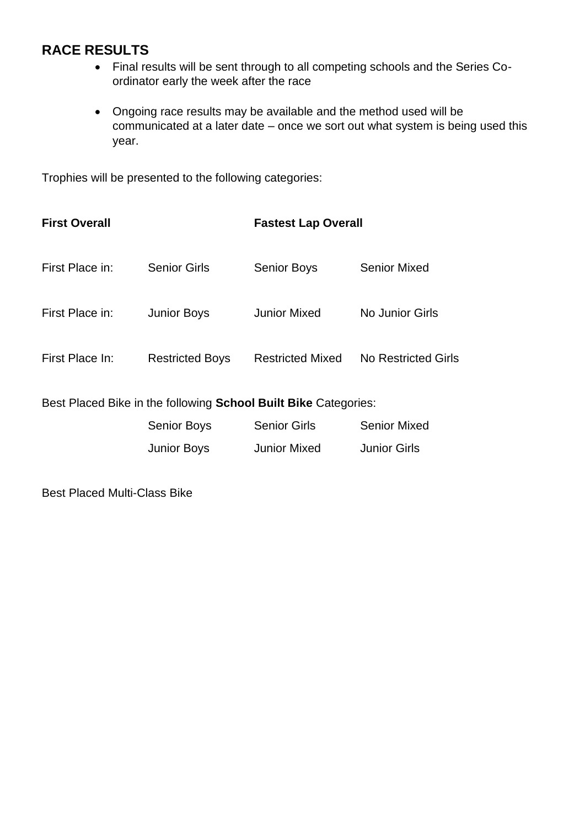#### **RACE RESULTS**

- Final results will be sent through to all competing schools and the Series Coordinator early the week after the race
- Ongoing race results may be available and the method used will be communicated at a later date – once we sort out what system is being used this year.

Trophies will be presented to the following categories:

| <b>First Overall</b> |                        | <b>Fastest Lap Overall</b> |                     |
|----------------------|------------------------|----------------------------|---------------------|
| First Place in:      | <b>Senior Girls</b>    | <b>Senior Boys</b>         | Senior Mixed        |
| First Place in:      | <b>Junior Boys</b>     | Junior Mixed               | No Junior Girls     |
| First Place In:      | <b>Restricted Boys</b> | <b>Restricted Mixed</b>    | No Restricted Girls |
|                      |                        |                            |                     |

Best Placed Bike in the following **School Built Bike** Categories:

| <b>Senior Boys</b> | <b>Senior Girls</b> | <b>Senior Mixed</b> |
|--------------------|---------------------|---------------------|
| <b>Junior Boys</b> | <b>Junior Mixed</b> | <b>Junior Girls</b> |

Best Placed Multi-Class Bike